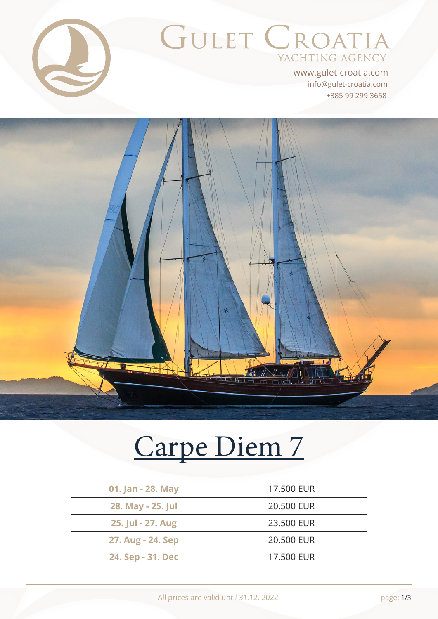

# GULET CROATIA YACHTING AGENCY

+385 99 299 3658 info@gulet-croatia.com www.gulet-croatia.com



# [Carpe Diem 7](https://www.gulet-croatia.com/gulets-cruise-croatia/sy-carpe-diem-7)

| 01. Jan - 28. May | 17.500 EUR |
|-------------------|------------|
| 28. May - 25. Jul | 20,500 EUR |
| 25. Jul - 27. Aug | 23,500 EUR |
| 27. Aug - 24. Sep | 20.500 EUR |
| 24. Sep - 31. Dec | 17,500 EUR |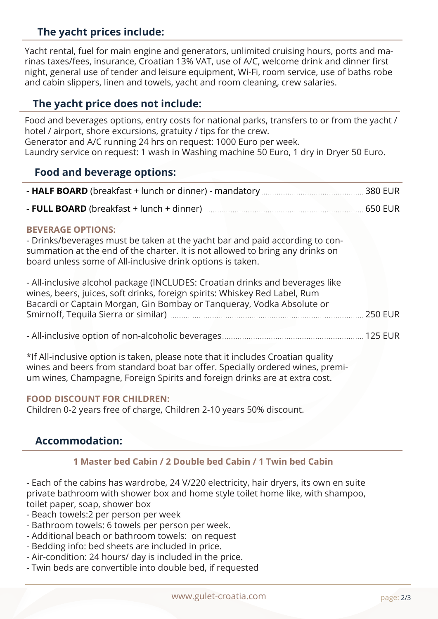# **The yacht prices include:**

Yacht rental, fuel for main engine and generators, unlimited cruising hours, ports and marinas taxes/fees, insurance, Croatian 13% VAT, use of A/C, welcome drink and dinner first night, general use of tender and leisure equipment, Wi-Fi, room service, use of baths robe and cabin slippers, linen and towels, yacht and room cleaning, crew salaries.

# **The yacht price does not include:**

Food and beverages options, entry costs for national parks, transfers to or from the yacht / hotel / airport, shore excursions, gratuity / tips for the crew. Generator and A/C running 24 hrs on request: 1000 Euro per week. Laundry service on request: 1 wash in Washing machine 50 Euro, 1 dry in Dryer 50 Euro.

# **Food and beverage options:**

|--|--|

**- FULL BOARD** (breakfast + lunch + dinner) ................ 650 EUR

#### **BEVERAGE OPTIONS:**

- Drinks/beverages must be taken at the yacht bar and paid according to consummation at the end of the charter. It is not allowed to bring any drinks on board unless some of All-inclusive drink options is taken.

| - All-inclusive alcohol package (INCLUDES: Croatian drinks and beverages like |  |
|-------------------------------------------------------------------------------|--|
| wines, beers, juices, soft drinks, foreign spirits: Whiskey Red Label, Rum    |  |
| Bacardi or Captain Morgan, Gin Bombay or Tangueray, Vodka Absolute or         |  |
|                                                                               |  |
|                                                                               |  |
|                                                                               |  |

\*If All-inclusive option is taken, please note that it includes Croatian quality wines and beers from standard boat bar offer. Specially ordered wines, premium wines, Champagne, Foreign Spirits and foreign drinks are at extra cost.

#### **FOOD DISCOUNT FOR CHILDREN:**

Children 0-2 years free of charge, Children 2-10 years 50% discount.

## **Accommodation:**

#### **1 Master bed Cabin / 2 Double bed Cabin / 1 Twin bed Cabin**

- Each of the cabins has wardrobe, 24 V/220 electricity, hair dryers, its own en suite private bathroom with shower box and home style toilet home like, with shampoo, toilet paper, soap, shower box

- Beach towels:2 per person per week
- Bathroom towels: 6 towels per person per week.
- Additional beach or bathroom towels: on request
- Bedding info: bed sheets are included in price.
- Air-condition: 24 hours/ day is included in the price.
- Twin beds are convertible into double bed, if requested